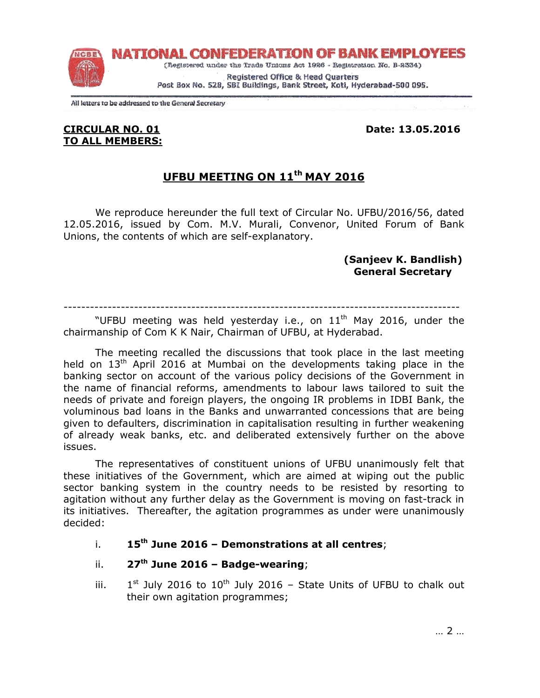

All letters to be addressed to the General Secretary

### CIRCULAR NO. 01 Date: 13.05.2016 TO ALL MEMBERS:

# UFBU MEETING ON 11th MAY 2016

We reproduce hereunder the full text of Circular No. UFBU/2016/56, dated 12.05.2016, issued by Com. M.V. Murali, Convenor, United Forum of Bank Unions, the contents of which are self-explanatory.

### (Sanjeev K. Bandlish) General Secretary

------------------------------------------------------------------------------------------

"UFBU meeting was held yesterday i.e., on  $11<sup>th</sup>$  May 2016, under the chairmanship of Com K K Nair, Chairman of UFBU, at Hyderabad.

 The meeting recalled the discussions that took place in the last meeting held on  $13<sup>th</sup>$  April 2016 at Mumbai on the developments taking place in the banking sector on account of the various policy decisions of the Government in the name of financial reforms, amendments to labour laws tailored to suit the needs of private and foreign players, the ongoing IR problems in IDBI Bank, the voluminous bad loans in the Banks and unwarranted concessions that are being given to defaulters, discrimination in capitalisation resulting in further weakening of already weak banks, etc. and deliberated extensively further on the above issues.

 The representatives of constituent unions of UFBU unanimously felt that these initiatives of the Government, which are aimed at wiping out the public sector banking system in the country needs to be resisted by resorting to agitation without any further delay as the Government is moving on fast-track in its initiatives. Thereafter, the agitation programmes as under were unanimously decided:

- i.  $15<sup>th</sup>$  June 2016 Demonstrations at all centres;
- ii.  $27<sup>th</sup>$  June 2016 Badge-wearing;
- iii. 1  $1<sup>st</sup>$  July 2016 to  $10<sup>th</sup>$  July 2016 – State Units of UFBU to chalk out their own agitation programmes;